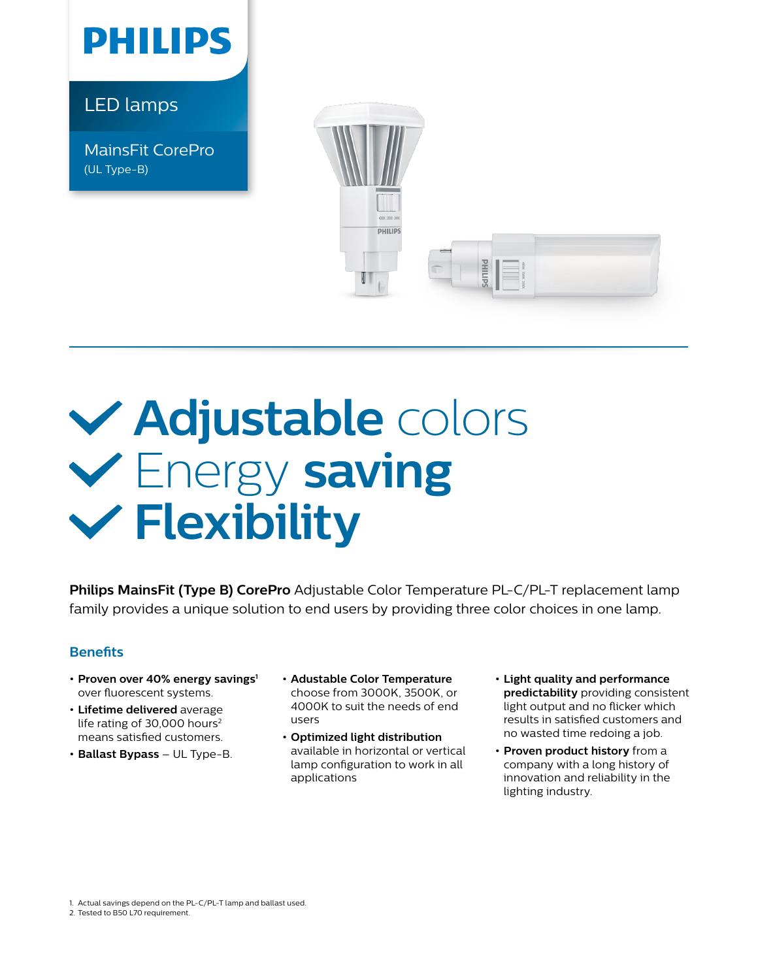

LED lamps

MainsFit CorePro (UL Type-B)



## **Adjustable** colors Energy **saving Flexibility**

**Philips MainsFit (Type B) CorePro** Adjustable Color Temperature PL-C/PL-T replacement lamp family provides a unique solution to end users by providing three color choices in one lamp.

## **Benefits**

- **•** Proven over 40% energy savings<sup>1</sup> over fluorescent systems.
- **• Lifetime delivered** average life rating of 30,000 hours<sup>2</sup> means satisfied customers.
- **• Ballast Bypass**  UL Type-B.
- **• Adustable Color Temperature** choose from 3000K, 3500K, or 4000K to suit the needs of end users
- **• Optimized light distribution**  available in horizontal or vertical lamp configuration to work in all applications
- **• Light quality and performance predictability** providing consistent light output and no flicker which results in satisfied customers and no wasted time redoing a job.
- **• Proven product history** from a company with a long history of innovation and reliability in the lighting industry.

1. Actual savings depend on the PL-C/PL-T lamp and ballast used.

2. Tested to B50 L70 requirement.